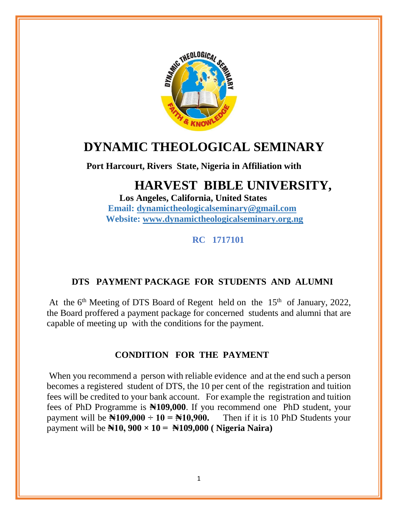

# **DYNAMIC THEOLOGICAL SEMINARY**

 **Port Harcourt, Rivers State, Nigeria in Affiliation with** 

## **HARVEST BIBLE UNIVERSITY,**

 **Los Angeles, California, United States Email: [dynamictheologicalseminary@gmail.com](mailto:dynamictheologicalseminary@gmail.com) Website: [www.dynamictheologicalseminary.org.ng](http://www.dynamictheologicalseminary.org.ng/)**

 **RC 1717101**

### **DTS PAYMENT PACKAGE FOR STUDENTS AND ALUMNI**

At the  $6<sup>th</sup>$  Meeting of DTS Board of Regent held on the  $15<sup>th</sup>$  of January, 2022, the Board proffered a payment package for concerned students and alumni that are capable of meeting up with the conditions for the payment.

#### **CONDITION FOR THE PAYMENT**

When you recommend a person with reliable evidence and at the end such a person becomes a registered student of DTS, the 10 per cent of the registration and tuition fees will be credited to your bank account. For example the registration and tuition fees of PhD Programme is **₦109,000**. If you recommend one PhD student, your payment will be  $\mathbb{N}109,000 \div 10 = \mathbb{N}10,900$ . Then if it is 10 PhD Students your payment will be **₦10, 900 × 10 = ₦109,000 ( Nigeria Naira)**